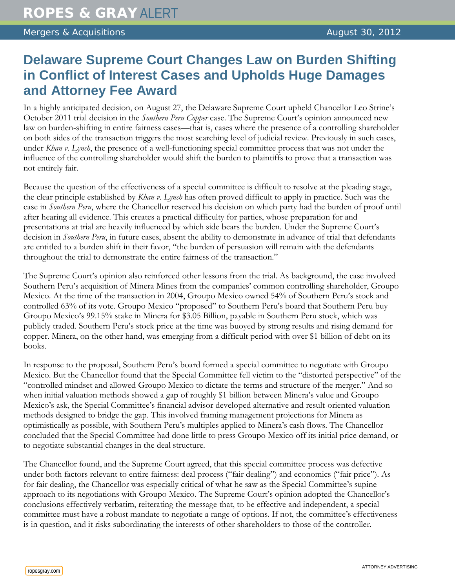## **Delaware Supreme Court Changes Law on Burden Shifting in Conflict of Interest Cases and Upholds Huge Damages and Attorney Fee Award**

In a highly anticipated decision, on August 27, the Delaware Supreme Court upheld Chancellor Leo Strine's October 2011 trial decision in the *Southern Peru Copper* case. The Supreme Court's opinion announced new law on burden-shifting in entire fairness cases—that is, cases where the presence of a controlling shareholder on both sides of the transaction triggers the most searching level of judicial review. Previously in such cases, under *Khan v. Lynch*, the presence of a well-functioning special committee process that was not under the influence of the controlling shareholder would shift the burden to plaintiffs to prove that a transaction was not entirely fair.

Because the question of the effectiveness of a special committee is difficult to resolve at the pleading stage, the clear principle established by *Khan v. Lynch* has often proved difficult to apply in practice. Such was the case in *Southern Peru*, where the Chancellor reserved his decision on which party had the burden of proof until after hearing all evidence. This creates a practical difficulty for parties, whose preparation for and presentations at trial are heavily influenced by which side bears the burden. Under the Supreme Court's decision in *Southern Peru*, in future cases, absent the ability to demonstrate in advance of trial that defendants are entitled to a burden shift in their favor, "the burden of persuasion will remain with the defendants throughout the trial to demonstrate the entire fairness of the transaction."

The Supreme Court's opinion also reinforced other lessons from the trial. As background, the case involved Southern Peru's acquisition of Minera Mines from the companies' common controlling shareholder, Groupo Mexico. At the time of the transaction in 2004, Groupo Mexico owned 54% of Southern Peru's stock and controlled 63% of its vote. Groupo Mexico "proposed" to Southern Peru's board that Southern Peru buy Groupo Mexico's 99.15% stake in Minera for \$3.05 Billion, payable in Southern Peru stock, which was publicly traded. Southern Peru's stock price at the time was buoyed by strong results and rising demand for copper. Minera, on the other hand, was emerging from a difficult period with over \$1 billion of debt on its books.

In response to the proposal, Southern Peru's board formed a special committee to negotiate with Groupo Mexico. But the Chancellor found that the Special Committee fell victim to the "distorted perspective" of the "controlled mindset and allowed Groupo Mexico to dictate the terms and structure of the merger." And so when initial valuation methods showed a gap of roughly \$1 billion between Minera's value and Groupo Mexico's ask, the Special Committee's financial advisor developed alternative and result-oriented valuation methods designed to bridge the gap. This involved framing management projections for Minera as optimistically as possible, with Southern Peru's multiples applied to Minera's cash flows. The Chancellor concluded that the Special Committee had done little to press Groupo Mexico off its initial price demand, or to negotiate substantial changes in the deal structure.

The Chancellor found, and the Supreme Court agreed, that this special committee process was defective under both factors relevant to entire fairness: deal process ("fair dealing") and economics ("fair price"). As for fair dealing, the Chancellor was especially critical of what he saw as the Special Committee's supine approach to its negotiations with Groupo Mexico. The Supreme Court's opinion adopted the Chancellor's conclusions effectively verbatim, reiterating the message that, to be effective and independent, a special committee must have a robust mandate to negotiate a range of options. If not, the committee's effectiveness is in question, and it risks subordinating the interests of other shareholders to those of the controller.